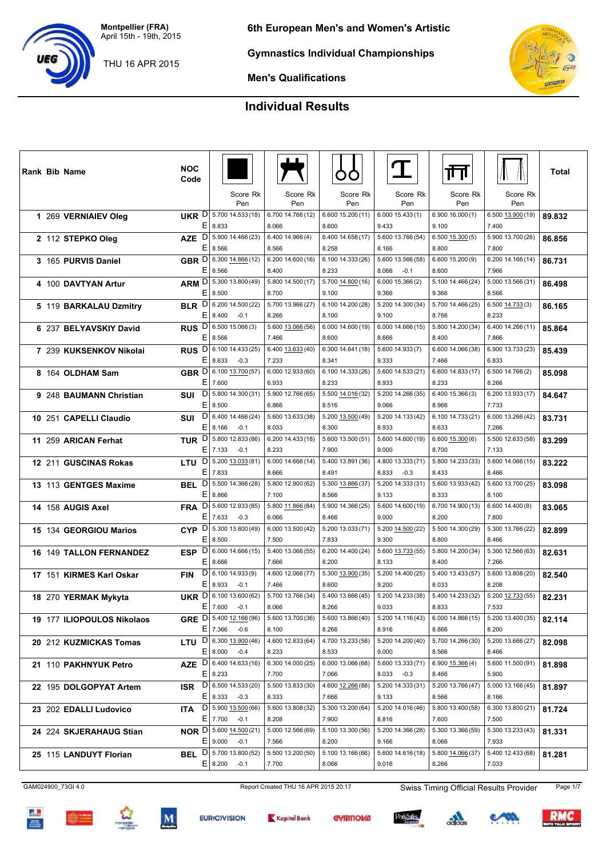THU 16 APR 2015

**Gymnastics Individual Championships**

**Men's Qualifications**

## **Individual Results**

| <b>Rank Bib Name</b>           | <b>NOC</b><br>Code         |                                                     |                            |                            |                                     | गंग                                      |                            | Total  |
|--------------------------------|----------------------------|-----------------------------------------------------|----------------------------|----------------------------|-------------------------------------|------------------------------------------|----------------------------|--------|
|                                |                            | Score Rk<br>Pen                                     | Score Rk<br>Pen            | Score Rk<br>Pen            | Score Rk<br>Pen                     | Score Rk<br>Pen                          | Score Rk<br>Pen            |        |
| 1 269 VERNIAIEV Oleg           | <b>UKR</b>                 | $D$ 5.700 14.533 (18)<br>E 8.833                    | 6.700 14.766 (12)<br>8.066 | 6.600 15.200 (11)<br>8.600 | 6.00015.433(1)<br>9.433             | 6.90016.000(1)<br>9.100                  | 6.500 13.900 (19)<br>7.400 | 89.832 |
| 2 112 STEPKO Oleg              | <b>AZE</b>                 | $D$ 5.900 14.466 (23)                               | 6.400 14.966 (4)           | 6.400 14.658 (17)          | 5.600 13.766 (54)                   | $6.500$ $15.300(5)$                      | 5.900 13.700 (26)          | 86.856 |
|                                |                            | E 8.566<br>GBR D 6.300 14.866 (12)                  | 8.566<br>6.200 14.600 (16) | 8.258<br>6.100 14.333 (26) | 8.166<br>5.600 13.566 (58)          | 8.800                                    | 7.800<br>6.200 14.166 (14) |        |
| 3 165 PURVIS Daniel            | E                          | 8.566                                               | 8.400                      | 8.233                      | 8.066<br>$-0.1$                     | 6.600 15.200 (9)<br>8.600                | 7.966                      | 86.731 |
| 4 100 DAVTYAN Artur            |                            | ARM D 5.300 13.800 (49)                             | 5.800 14.500 (17)          | 5.700 14.800 (16)          | 6.000 15.366 (2)                    | 5.100 14.466 (24)                        | 5.000 13.566 (31)          | 86.498 |
|                                | ΕI                         | 8.500                                               | 8.700                      | 9.100                      | 9.366                               | 9.366                                    | 8.566                      |        |
| 5 119 BARKALAU Dzmitry         | <b>BLR</b>                 | $D$   6.200 14.500 (22)                             | 5.700 13.966 (27)          | 6.100 14.200 (28)          | 5.200 14.300 (34)                   | 5.700 14.466 (25)                        | 6.500 14.733 (3)           | 86.165 |
|                                |                            | E 8.400<br>$-0.1$                                   | 8.266                      | 8.100                      | 9.100                               | 8.766                                    | 8.233                      |        |
| 6 237 BELYAVSKIY David         | Ε                          | RUS D 6.500 15.066 (3)<br>8.566                     | 5.600 13.066 (56)<br>7.466 | 6.000 14.600 (19)          | 6.000 14.666 (15)<br>8.666          | 5.800 14.200 (34)                        | 6.400 14.266 (11)<br>7.866 | 85.864 |
| 7 239 KUKSENKOV Nikolai        | <b>RUS</b>                 | $D$ 6.100 14.433 (25)                               | 6.400 13.633 (40)          | 8.600<br>6.300 14.641 (18) | 5.600 14.933 (7)                    | 8.400<br>6.600 14.066 (38)               | 6.900 13.733 (23)          | 85.439 |
|                                | ΕI                         | $8.633 -0.3$                                        | 7.233                      | 8.341                      | 9.333                               | 7.466                                    | 6.833                      |        |
| 8 164 OLDHAM Sam               |                            | GBR D 6.100 13.700 (57)                             | 6.000 12.933 (60)          | 6.100 14.333 (26)          | 5.600 14.533 (21)                   | 6.600 14.833 (17)                        | 6.500 14.766 (2)           | 85.098 |
|                                |                            | E 7.600                                             | 6.933                      | 8.233                      | 8.933                               | 8.233                                    | 8.266                      |        |
| 9 248 BAUMANN Christian        | SUI                        | $D$   5.800 14.300 (31)                             | 5.900 12.766 (65)          | 5.500 14.016 (32)          | 5.200 14.266 (35)                   | 6.400 15.366 (3)                         | 6.200 13.933 (17)          | 84.647 |
|                                | Е                          | 8.500                                               | 6.866                      | 8.516                      | 9.066                               | 8.966                                    | 7.733                      |        |
| 10 251 CAPELLI Claudio         | SUI                        | $D$ 6.400 14.466 (24)                               | 5.600 13.633 (38)          | 5.200 13.500 (49)          | 5.200 14.133 (42)                   | 6.100 14.733 (21)                        | 6.000 13.266 (42)          | 83.731 |
|                                | Е                          | 8.166<br>$-0.1$<br>$D$ 5.800 12.833 (86)            | 8.033                      | 8.300<br>5.600 13.500 (51) | 8.933                               | 8.633                                    | 7.266                      |        |
| 11 259 ARICAN Ferhat           | TUR                        | $E$ 7.133<br>$-0.1$                                 | 6.200 14.433 (18)<br>8.233 | 7.900                      | 5.600 14.600 (19)<br>9.000          | $6.600\underline{15.300}$ $(6)$<br>8.700 | 5.500 12.633 (58)<br>7.133 | 83.299 |
| 12 211 GUSCINAS Rokas          | LTU                        | $D$ 5.200 13.033 (81)                               | 6.000 14.666 (14)          | 5.400 13.891 (36)          | 4.800 13.333 (71)                   | 5.800 14.233 (33)                        | 5.600 14.066 (15)          | 83.222 |
|                                | E                          | 7.833                                               | 8.666                      | 8.491                      | $8.833 - 0.3$                       | 8.433                                    | 8.466                      |        |
| 13 113 GENTGES Maxime          | BEL                        | $D$ 5.500 14.366 (28)                               | 5.800 12.900 (62)          | 5.300 13.866 (37)          | 5.200 14.333 (31)                   | 5.600 13.933 (42)                        | 5.600 13.700 (25)          | 83.098 |
|                                | Е                          | 8.866                                               | 7.100                      | 8.566                      | 9.133                               | 8.333                                    | 8.100                      |        |
| 14 158 AUGIS Axel              | $\mathsf{D}$<br><b>FRA</b> | 5.600 12.933 (85)                                   | 5.800 11.866 (84)          | 5.900 14.366 (25)          | 5.600 14.600 (19)                   | 6.700 14.900 (13)                        | 6.600 14.400 (8)           | 83.065 |
|                                |                            | $E$   7.633<br>$-0.3$                               | 6.066                      | 8.466                      | 9.000                               | 8.200                                    | 7.800                      |        |
| 15 134 GEORGIOU Marios         | Е                          | CYP D 5.300 13.800 (49)<br>8.500                    | 6.000 13.500 (42)<br>7.500 | 5.200 13.033 (71)<br>7.833 | 5.200 14.500 (22)<br>9.300          | 5.500 14.300 (29)<br>8.800               | 5.300 13.766 (22)<br>8.466 | 82.899 |
| <b>16 149 TALLON FERNANDEZ</b> | <b>ESP</b>                 | $D$ 6.000 14.666 (15)                               | 5.400 13.066 (55)          | 6.200 14.400 (24)          | 5.600 13.733 (55)                   | 5.800 14.200 (34)                        | 5.300 12.566 (63)          | 82.631 |
|                                | Е                          | 8.666                                               | 7.666                      | 8.200                      | 8.133                               | 8.400                                    | 7.266                      |        |
| 17 151 KIRMES Karl Oskar       | <b>FIN</b>                 | $D$ 6.100 14.933 (9)                                | 4.600 12.066 (77)          | 5.300 13.900 (35)          | 5.200 14.400 (25)                   | 5.400 13.433 (57)                        | 5.600 13.808 (20)          | 82.540 |
|                                |                            | $E$ 8.933<br>$-0.1$                                 | 7.466                      | 8.600                      | 9.200                               | 8.033                                    | 8.208                      |        |
| 18 270 YERMAK Mykyta           |                            | UKR D 6.100 13.600 (62)                             | 5.700 13.766 (34)          | 5.400 13.666 (45)          | 5.200 14.233 (38)                   | 5.400 14.233 (32)                        | 5.200 12.733 (55)          | 82.231 |
|                                |                            | $E \big  7.600 -0.1$                                | 8.066                      | 8.266                      | 9.033                               | 8.833                                    | 7.533                      |        |
| 19 177 ILIOPOULOS Nikolaos     |                            | GRE D 5.400 12.166 (96)<br>$E$ 7.366 -0.6           | 5.600 13.700 (36)          | 5.600 13.866 (40)          | 5.200 14.116 (43)                   | 6.000 14.866 (15)                        | 5.200 13.400 (35)          | 82.114 |
|                                |                            | <b>LTU</b> $D  6.300 13.900 (46)$                   | 8.100<br>4.600 12.833 (64) | 8.266<br>4.700 13.233 (58) | 8.916<br>5.200 14.200 (40)          | 8.866<br>5.700 14.266 (30)               | 8.200<br>5.200 13.666 (27) |        |
| 20 212 KUZMICKAS Tomas         |                            | $E 8.000 -0.4$                                      | 8.233                      | 8.533                      | 9.000                               | 8.566                                    | 8.466                      | 82.098 |
| 21 110 PAKHNYUK Petro          |                            | AZE $D 6.40014.633(16)$                             | 6.300 14.000 (25)          | 6.000 13.066 (68)          | 5.600 13.333 (71) 6.900 15.366 (4)  |                                          | 5.600 11.500 (91)          | 81.898 |
|                                |                            | $E$   8.233                                         | 7.700                      | 7.066                      | $8.033 -0.3$                        | 8.466                                    | 5.900                      |        |
| 22 195 DOLGOPYAT Artem         |                            | ISR $D 6.500\sqrt{14.533(20)}$                      | 5.500 13.833 (30)          | 4.600 12.266 (88)          | 5.200 14.333 (31) 5.200 13.766 (47) |                                          | 5.000 13.166 (45)          | 81.897 |
|                                |                            | $E 8.333 - 0.3$                                     | 8.333                      | 7.666                      | 9.133                               | 8.566                                    | 8.166                      |        |
| 23 202 EDALLI Ludovico         | ITA                        | $D$ 5.900 13.500 (66)                               | 5.600 13.808 (32)          | 5.300 13.200 (64)          | 5.200 14.016 (46)                   | 5.800 13.400 (58)                        | 6.300 13.800 (21)          | 81.724 |
|                                |                            | $E$ 7.700 -0.1<br><b>NOR</b> $D  5.600 14.500 (21)$ | 8.208<br>5.000 12.566 (69) | 7.900<br>5.100 13.300 (56) | 8.816<br>5.200 14.366 (28)          | 7.600<br>5.300 13.366 (59)               | 7.500<br>5.300 13.233 (43) |        |
| 24 224 SKJERAHAUG Stian        |                            | $E$ 9.000 -0.1                                      | 7.566                      | 8.200                      | 9.166                               | 8.066                                    | 7.933                      | 81.331 |
| 25 115 LANDUYT Florian         |                            | <b>BEL</b> $D$ 5.700 13.800 (52)                    | 5.500 13.200 (50)          | 5.100 13.166 (66)          | 5.600 14.616 (18)                   | 5.800 14.066 (37)                        | 5.400 12.433 (68)          | 81.281 |
|                                |                            | $E$   8.200 $-0.1$                                  | 7.700                      | 8.066                      | 9.016                               | 8.266                                    | 7.033                      |        |

GAM024900\_73GI 4.0 Report Created THU 16 APR 2015 20:17 Swiss Timing Official Results Provider Page 1/7













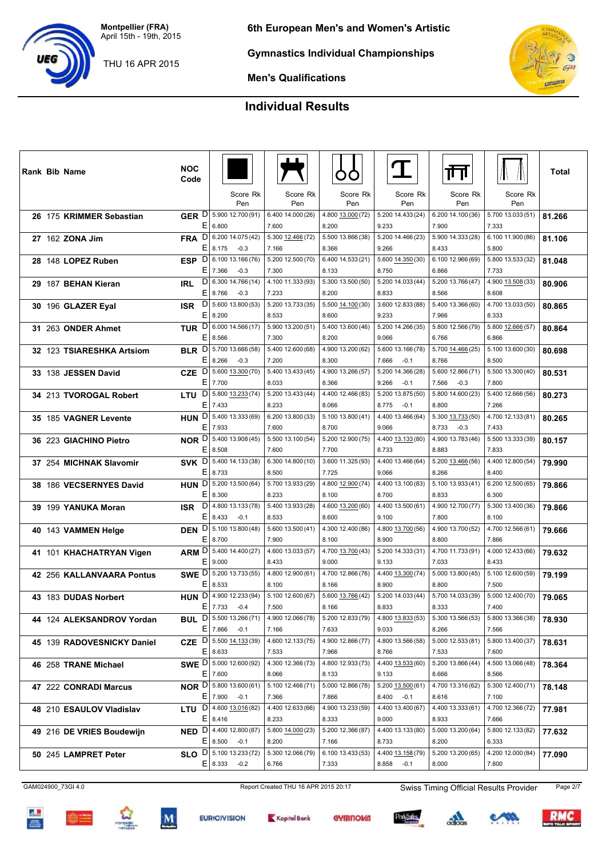THU 16 APR 2015



**Gymnastics Individual Championships**



**Men's Qualifications**

## **Individual Results**

|  | <b>Rank Bib Name</b>       | <b>NOC</b><br>Code         |                                                           |                            |                            |                                      | ╓╜                                   |                            | Total  |
|--|----------------------------|----------------------------|-----------------------------------------------------------|----------------------------|----------------------------|--------------------------------------|--------------------------------------|----------------------------|--------|
|  |                            |                            | Score Rk<br>Pen                                           | Score Rk<br>Pen            | Score Rk<br>Pen            | Score Rk<br>Pen                      | Score Rk<br>Pen                      | Score Rk<br>Pen            |        |
|  | 26 175 KRIMMER Sebastian   | Е                          | GER D 5.900 12.700 (91)<br>6.800                          | 6.400 14.000 (26)<br>7.600 | 4.800 13.000 (72)<br>8.200 | 5.200 14.433 (24)<br>9.233           | 6.200 14.100 (36)<br>7.900           | 5.700 13.033 (51)<br>7.333 | 81.266 |
|  | 27 162 ZONA Jim            | D<br><b>FRA</b>            | 6.200 14.075 (42)                                         | 5.300 12.466 (72)          | 5.500 13.866 (38)          | 5.200 14.466 (23)                    | 5.900 14.333 (28)                    | 6.100 11.900 (86)          | 81.106 |
|  |                            | E.                         | 8.175<br>$-0.3$                                           | 7.166                      | 8.366                      | 9.266                                | 8.433                                | 5.800                      |        |
|  | 28 148 LOPEZ Ruben         |                            | ESP D 6.100 13.166 (76)                                   | 5.200 12.500 (70)          | 6.400 14.533 (21)          | 5.600 14.350 (30)                    | 6.100 12.966 (69)                    | 5.800 13.533 (32)          | 81.048 |
|  |                            | EI<br>D                    | 7.366<br>$-0.3$<br>6.300 14.766 (14)                      | 7.300<br>4.100 11.333 (93) | 8.133<br>5.300 13.500 (50) | 8.750<br>5.200 14.033 (44)           | 6.866<br>5.200 13.766 (47)           | 7.733<br>4.900 13.508 (33) |        |
|  | 29 187 BEHAN Kieran        | <b>IRL</b><br>Ε            | 8.766<br>$-0.3$                                           | 7.233                      | 8.200                      | 8.833                                | 8.566                                | 8.608                      | 80.906 |
|  | 30 196 GLAZER Eyal         | $\mathsf{D}$<br><b>ISR</b> | 5.600 13.800 (53)                                         | 5.200 13.733 (35)          | 5.500 14.100 (30)          | 3.600 12.833 (88)                    | 5.400 13.366 (60)                    | 4.700 13.033 (50)          | 80.865 |
|  |                            | Е                          | 8.200                                                     | 8.533                      | 8.600                      | 9.233                                | 7.966                                | 8.333                      |        |
|  | 31 263 ONDER Ahmet         |                            | TUR D 6.000 14.566 (17)                                   | 5.900 13.200 (51)          | 5.400 13.600 (46)          | 5.200 14.266 (35)                    | 5.800 12.566 (79)                    | 5.800 12.666 (57)          | 80.864 |
|  |                            | E                          | 8.566                                                     | 7.300                      | 8.200                      | 9.066                                | 6.766                                | 6.866                      |        |
|  | 32 123 TSIARESHKA Artsiom  |                            | <b>BLR</b> D 5.700 13.666 (58)                            | 5.400 12.600 (68)          | 4.900 13.200 (62)          | 5.600 13.166 (78)                    | 5.700 14.466 (25)                    | 5.100 13.600 (30)          | 80.698 |
|  |                            | Ε                          | 8.266<br>$-0.3$                                           | 7.200                      | 8.300                      | 7.666<br>$-0.1$                      | 8.766                                | 8.500                      |        |
|  | 33 138 JESSEN David        | <b>CZE</b>                 | $D$ 5.600 13.300 (70)                                     | 5.400 13.433 (45)          | 4.900 13.266 (57)          | 5.200 14.366 (28)                    | 5.600 12.866 (71)                    | 5.500 13.300 (40)          | 80.531 |
|  |                            | E                          | 7.700<br>$D$ 5.800 13.233 (74)                            | 8.033<br>5.200 13.433 (44) | 8.366<br>4.400 12.466 (83) | 9.266<br>$-0.1$<br>5.200 13.875 (50) | 7.566<br>$-0.3$<br>5.800 14.600 (23) | 7.800<br>5.400 12.666 (56) |        |
|  | 34 213 TVOROGAL Robert     | <b>LTU</b>                 | $E$ 7.433                                                 | 8.233                      | 8.066                      | 8.775<br>$-0.1$                      | 8.800                                | 7.266                      | 80.273 |
|  | 35 185 VAGNER Levente      |                            | HUN D 5.400 13.333 (69)                                   | 6.200 13.800 (33)          | 5.100 13.800 (41)          | 4.400 13.466 (64)                    | 5.300 13.733 (50)                    | 4.700 12.133 (81)          | 80.265 |
|  |                            | E.                         | 7.933                                                     | 7.600                      | 8.700                      | 9.066                                | 8.733<br>$-0.3$                      | 7.433                      |        |
|  | 36 223 GIACHINO Pietro     |                            | <b>NOR</b> D 5.400 13.908 (45)                            | 5.500 13.100 (54)          | 5.200 12.900 (75)          | 4.400 13.133 (80)                    | 4.900 13.783 (46)                    | 5.500 13.333 (39)          | 80.157 |
|  |                            | Ε                          | 8.508                                                     | 7.600                      | 7.700                      | 8.733                                | 8.883                                | 7.833                      |        |
|  | 37 254 MICHNAK Slavomir    |                            | SVK D 5.400 14.133 (38)                                   | 6.300 14.800 (10)          | 3.600 11.325 (93)          | 4.400 13.466 (64)                    | 5.200 13.466 (56)                    | 4.400 12.800 (54)          | 79.990 |
|  |                            | E                          | 8.733                                                     | 8.500                      | 7.725                      | 9.066                                | 8.266                                | 8.400                      |        |
|  | 38 186 VECSERNYES David    |                            | HUN D 5.200 13.500 (64)                                   | 5.700 13.933 (29)          | 4.800 12.900 (74)          | 4.400 13.100 (83)                    | 5.100 13.933 (41)                    | 6.200 12.500 (65)          | 79.866 |
|  |                            | E.                         | 8.300<br>4.800 13.133 (78)                                | 8.233                      | 8.100                      | 8.700                                | 8.833                                | 6.300                      |        |
|  | 39 199 YANUKA Moran        | D<br><b>ISR</b><br>E.      | 8.433<br>$-0.1$                                           | 5.400 13.933 (28)<br>8.533 | 4.600 13.200 (60)<br>8.600 | 4.400 13.500 (61)<br>9.100           | 4.900 12.700 (77)<br>7.800           | 5.300 13.400 (36)<br>8.100 | 79.866 |
|  | 40 143 VAMMEN Helge        | <b>DEN</b>                 | $D$ 5.100 13.800 (48)                                     | 5.600 13.500 (41)          | 4.300 12.400 (86)          | 4.800 13.700 (56)                    | 4.900 13.700 (52)                    | 4.700 12.566 (61)          | 79.666 |
|  |                            | E                          | 8.700                                                     | 7.900                      | 8.100                      | 8.900                                | 8.800                                | 7.866                      |        |
|  | 41 101 KHACHATRYAN Vigen   |                            | ARM D 5.400 14.400 (27)                                   | 4.600 13.033 (57)          | 4.700 13.700 (43)          | 5.200 14.333 (31)                    | 4.700 11.733 (91)                    | 4.000 12.433 (66)          | 79.632 |
|  |                            | E.                         | 9.000                                                     | 8.433                      | 9.000                      | 9.133                                | 7.033                                | 8.433                      |        |
|  | 42 256 KALLANVAARA Pontus  |                            | SWE D 5.200 13.733 (55)                                   | 4.800 12.900 (61)          | 4.700 12.866 (76)          | 4.400 13.300 (74)                    | 5.000 13.800 (45)                    | 5.100 12.600 (59)          | 79.199 |
|  |                            | E.                         | 8.533                                                     | 8.100                      | 8.166                      | 8.900                                | 8.800                                | 7.500                      |        |
|  | 43 183 DUDAS Norbert       |                            | HUN $D$ 4.900 12.233 (94)                                 | 5.100 12.600 (67)          | 5.600 13.766 (42)          | 5.200 14.033 (44)                    | 5.700 14.033 (39)                    | 5.000 12.400 (70)          | 79.065 |
|  |                            |                            | $E$ 7.733 -0.4<br><b>BUL</b> D 5.500 13.266 (71)          | 7.500<br>4.900 12.066 (78) | 8.166<br>5.200 12.833 (79) | 8.833<br>4.800 13.833 (53)           | 8.333<br>5.300 13.566 (53)           | 7.400<br>5.800 13.366 (38) |        |
|  | 44 124 ALEKSANDROV Yordan  |                            | $E$ 7.866 -0.1                                            | 7.166                      | 7.633                      | 9.033                                | 8.266                                | 7.566                      | 78.930 |
|  | 45 139 RADOVESNICKY Daniel |                            | CZE $D$ 5.500 14.133 (39)                                 | 4.600 12.133 (75)          | 4.900 12.866 (77)          | 4.800 13.566 (58)                    | 5.000 12.533 (81)                    | 5.800 13.400 (37)          | 78.631 |
|  |                            |                            | E 8.633                                                   | 7.533                      | 7.966                      | 8.766                                | 7.533                                | 7.600                      |        |
|  | 46 258 TRANE Michael       |                            | SWE D 5.000 12.600 (92)                                   | 4.300 12.366 (73)          | 4.800 12.933 (73)          | 4.400 13.533 (60)                    | 5.200 13.866 (44)                    | 4.500 13.066 (48)          | 78.364 |
|  |                            |                            | $E$ 7.600                                                 | 8.066                      | 8.133                      | 9.133                                | 8.666                                | 8.566                      |        |
|  | 47 222 CONRADI Marcus      |                            | NOR D 5.800 13.600 (61)                                   | 5.100 12.466 (71)          | 5.000 12.866 (78)          | 5.200 13.500 (61)                    | 4.700 13.316 (62)                    | 5.300 12.400 (71)          | 78.148 |
|  |                            |                            | $E$   7.900 -0.1                                          | 7.366                      | 7.866                      | 8.400 -0.1                           | 8.616                                | 7.100                      |        |
|  | 48 210 ESAULOV Vladislav   |                            | <b>LTU</b> $D$ 4.600 $\frac{13.016}{(82)}$<br>$E$   8.416 | 4.400 12.633 (66)<br>8.233 | 4.900 13.233 (59)<br>8.333 | 4.400 13.400 (67)<br>9.000           | 4.400 13.333 (61)<br>8.933           | 4.700 12.366 (72)<br>7.666 | 77.981 |
|  |                            |                            | <b>NED</b> $D$ 4.400 12.800 (87)                          | 5.800 14.000 (23)          | 5.200 12.366 (87)          | 4.400 13.133 (80)                    | 5.000 13.200 (64)                    | 5.800 12.133 (82)          |        |
|  | 49 216 DE VRIES Boudewijn  |                            | $E 8.500 -0.1$                                            | 8.200                      | 7.166                      | 8.733                                | 8.200                                | 6.333                      | 77.632 |
|  | 50 245 LAMPRET Peter       |                            | SLO $D  5.100 13.233(72)$                                 | 5.300 12.066 (79)          | 6.100 13.433 (53)          | 4.400 13.158 (79)                    | 5.200 13.200 (65)                    | 4.200 12.000 (84)          | 77.090 |
|  |                            |                            | $E 8.333 - 0.2$                                           | 6.766                      | 7.333                      | $8.858 - 0.1$                        | 8.000                                | 7.800                      |        |

GAM024900\_73GI 4.0 Report Created THU 16 APR 2015 20:17 Swiss Timing Official Results Provider Page 2/7







$$
\mathsf{GymnOM}
$$



 $rac{1}{2}$ 



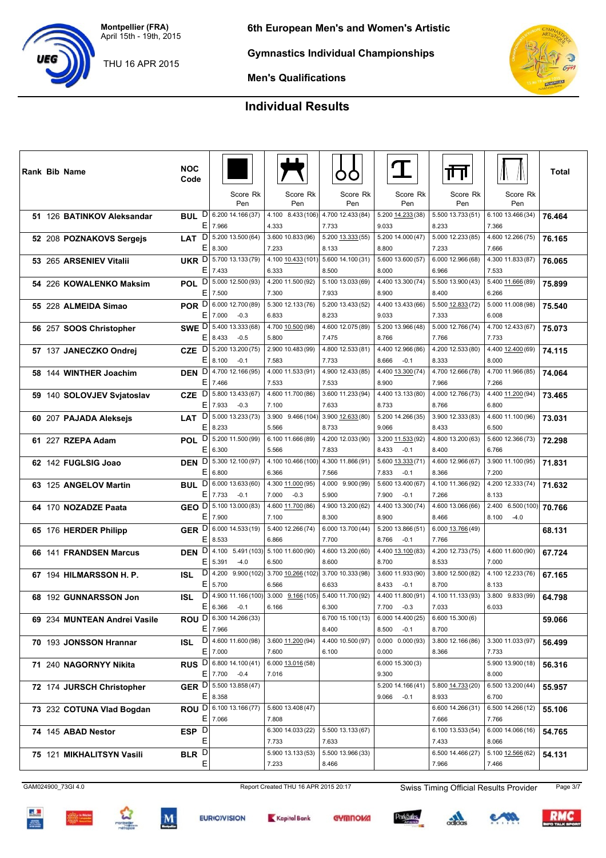THU 16 APR 2015



**Gymnastics Individual Championships**



**Men's Qualifications**

## **Individual Results**

|  | <b>Rank Bib Name</b>         | <b>NOC</b><br>Code           |                                                            |                                               |                            |                                              | गा                         |                            | Total  |
|--|------------------------------|------------------------------|------------------------------------------------------------|-----------------------------------------------|----------------------------|----------------------------------------------|----------------------------|----------------------------|--------|
|  |                              |                              | Score Rk<br>Pen                                            | Score Rk<br>Pen                               | Score Rk<br>Pen            | Score Rk<br>Pen                              | Score Rk<br>Pen            | Score Rk<br>Pen            |        |
|  | 51 126 BATINKOV Aleksandar   | BUL                          | $D$ 6.200 14.166 (37)                                      | 4.100 8.433 (106)                             | 4.700 12.433 (84)          | 5.200 14.233 (38)                            | 5.500 13.733 (51)          | 6.100 13.466 (34)          | 76.464 |
|  |                              | Е                            | 7.966                                                      | 4.333                                         | 7.733                      | 9.033                                        | 8.233                      | 7.366                      |        |
|  | 52 208 POZNAKOVS Sergejs     | D<br><b>LAT</b>              | 5.200 13.500 (64)                                          | 3.600 10.833 (96)                             | 5.200 13.333 (55)          | 5.200 14.000 (47)                            | 5.000 12.233 (85)          | 4.600 12.266 (75)          | 76.165 |
|  |                              | Ε                            | 8.300                                                      | 7.233                                         | 8.133                      | 8.800                                        | 7.233                      | 7.666                      |        |
|  | 53 265 ARSENIEV Vitalii      | E.                           | UKR D 5.700 13.133 (79)<br>7.433                           | 4.100 10.433 (101) 5.600 14.100 (31)<br>6.333 | 8.500                      | 5.600 13.600 (57)<br>8.000                   | 6.000 12.966 (68)<br>6.966 | 4.300 11.833 (87)<br>7.533 | 76.065 |
|  | 54 226 KOWALENKO Maksim      | <b>POL</b>                   | $D$ 5.000 12.500 (93)                                      | 4.200 11.500 (92)                             | 5.100 13.033 (69)          | 4.400 13.300 (74)                            | 5.500 13.900 (43)          | 5.400 11.666 (89)          | 75.899 |
|  |                              | E                            | 7.500                                                      | 7.300                                         | 7.933                      | 8.900                                        | 8.400                      | 6.266                      |        |
|  | 55 228 ALMEIDA Simao         | POR D                        | 6.000 12.700 (89)                                          | 5.300 12.133 (76)                             | 5.200 13.433 (52)          | 4.400 13.433 (66)                            | 5.500 12.833 (72)          | 5.000 11.008 (98)          | 75.540 |
|  |                              | E.                           | 7.000<br>$-0.3$                                            | 6.833                                         | 8.233                      | 9.033                                        | 7.333                      | 6.008                      |        |
|  | 56 257 SOOS Christopher      |                              | SWE D 5.400 13.333 (68)                                    | 4.700 10.500 (98)                             | 4.600 12.075 (89)          | 5.200 13.966 (48)                            | 5.000 12.766 (74)          | 4.700 12.433 (67)          | 75.073 |
|  |                              | E                            | 8.433<br>$-0.5$                                            | 5.800                                         | 7.475                      | 8.766                                        | 7.766                      | 7.733                      |        |
|  | 57 137 JANECZKO Ondrej       | <b>CZE</b>                   | $D$   5.200 13.200 (75)                                    | 2.900 10.483 (99)                             | 4.800 12.533 (81)          | 4.400 12.966 (86)                            | 4.200 12.533 (80)          | 4.400 12.400 (69)          | 74.115 |
|  |                              | E                            | 8.100<br>$-0.1$<br>4.700 12.166 (95)                       | 7.583<br>4.000 11.533 (91)                    | 7.733<br>4.900 12.433 (85) | 8.666<br>$-0.1$<br>4.400 13.300 (74)         | 8.333<br>4.700 12.666 (78) | 8.000<br>4.700 11.966 (85) |        |
|  | 58 144 WINTHER Joachim       | D<br><b>DEN</b><br>E         | 7.466                                                      | 7.533                                         | 7.533                      | 8.900                                        | 7.966                      | 7.266                      | 74.064 |
|  | 59 140 SOLOVJEV Svjatoslav   | <b>CZE</b>                   | $D$ 5.800 13.433 (67)                                      | 4.600 11.700 (86)                             | 3.600 11.233 (94)          | 4.400 13.133 (80)                            | 4.000 12.766 (73)          | 4.400 11.200 (94)          | 73.465 |
|  |                              | Е                            | 7.933<br>$-0.3$                                            | 7.100                                         | 7.633                      | 8.733                                        | 8.766                      | 6.800                      |        |
|  | 60 207 PAJADA Aleksejs       | $\overline{D}$<br><b>LAT</b> | 5.000 13.233 (73)                                          | 3.900 9.466 (104)                             | 3.900 12.633 (80)          | 5.200 14.266 (35)                            | 3.900 12.333 (83)          | 4.600 11.100 (96)          | 73.031 |
|  |                              | Е                            | 8.233                                                      | 5.566                                         | 8.733                      | 9.066                                        | 8.433                      | 6.500                      |        |
|  | 61 227 RZEPA Adam            | D<br><b>POL</b>              | 5.200 11.500 (99)                                          | 6.100 11.666 (89)                             | 4.200 12.033 (90)          | 3.200 11.533 (92)                            | 4.800 13.200 (63)          | 5.600 12.366 (73)          | 72.298 |
|  |                              | Е                            | 6.300                                                      | 5.566                                         | 7.833                      | 8.433<br>$-0.1$                              | 8.400                      | 6.766                      |        |
|  | 62 142 FUGLSIG Joao          | E                            | <b>DEN</b> D 5.300 12.100 (97)<br>6.800                    | 4.100 10.466 (100)<br>6.366                   | 4.300 11.866 (91)<br>7.566 | 5.600 13.333 (71)<br>7.833<br>$-0.1$         | 4.600 12.966 (67)<br>8.366 | 3.900 11.100 (95)<br>7.200 | 71.831 |
|  |                              | <b>BUL</b>                   | $D$ 6.000 13.633 (60)                                      | 4.300 11.000 (95)                             | 4.000 9.900 (99)           | 5.600 13.400 (67)                            | 4.100 11.366 (92)          | 4.200 12.333 (74)          | 71.632 |
|  | 63 125 ANGELOV Martin        | E                            | 7.733<br>$-0.1$                                            | 7.000<br>$-0.3$                               | 5.900                      | 7.900<br>$-0.1$                              | 7.266                      | 8.133                      |        |
|  | 64 170 NOZADZE Paata         | GEO <sup>D</sup>             | 5.100 13.000 (83)                                          | 4.600 11.700 (86)                             | 4.900 13.200 (62)          | 4.400 13.300 (74)                            | 4.600 13.066 (66)          | 2.400<br>6.500(100)        | 70.766 |
|  |                              | E.                           | 7.900                                                      | 7.100                                         | 8.300                      | 8.900                                        | 8.466                      | 8.100<br>$-4.0$            |        |
|  | 65 176 HERDER Philipp        |                              | GER D 6.000 14.533 (19)                                    | 5.400 12.266 (74)                             | 6.000 13.700 (44)          | 5.200 13.866 (51)                            | 6.000 13.766 (49)          |                            | 68.131 |
|  |                              | E.                           | 8.533                                                      | 6.866                                         | 7.700                      | 8.766<br>$-0.1$                              | 7.766                      |                            |        |
|  | 66 141 FRANDSEN Marcus       | <b>DEN</b>                   | $D$ 4.100 5.491 (103) 5.100 11.600 (90)                    |                                               | 4.600 13.200 (60)          | 4.400 13.100 (83)                            | 4.200 12.733 (75)          | 4.600 11.600 (90)          | 67.724 |
|  |                              | Е<br>D                       | 5.391<br>$-4.0$                                            | 6.500                                         | 8.600                      | 8.700                                        | 8.533                      | 7.000                      |        |
|  | 67 194 HILMARSSON H. P.      | ISL<br>Ε                     | 4.200 9.900 (102)<br>5.700                                 | 3.700 10.266 (102)<br>6.566                   | 3.700 10.333 (98)<br>6.633 | 3.600 11.933 (90)<br>8.433<br>$-0.1$         | 3.800 12.500 (82)<br>8.700 | 4.100 12.233 (76)<br>8.133 | 67.165 |
|  | 68 192 GUNNARSSON Jon        | ISL                          | $D$ 4.900 11.166 (100) 3.000 9.166 (105) 5.400 11.700 (92) |                                               |                            | 4.400 11.800 (91)                            | 4.100 11.133 (93)          | 3.800 9.833 (99)           | 64.798 |
|  |                              |                              | $E 6.366 -0.1$                                             | 6.166                                         | 6.300                      | 7.700 -0.3                                   | 7.033                      | 6.033                      |        |
|  | 69 234 MUNTEAN Andrei Vasile |                              | ROU D 6.300 14.266 (33)                                    |                                               | 6.700 15.100 (13)          | $6.00014.400(25)$ 6.600 15.300 (6)           |                            |                            | 59.066 |
|  |                              |                              | $E$   7.966                                                |                                               | 8.400                      | $8.500 -0.1$                                 | 8.700                      |                            |        |
|  | 70 193 JONSSON Hrannar       |                              | ISL D 4.600 11.600 (98)                                    | 3.600 11.200 (94)                             | 4.400 10.500 (97)          | $0.000$ $0.000$ (93)                         | 3.800 12.166 (86)          | 3.300 11.033 (97)          | 56.499 |
|  |                              |                              | $E$ 7.000                                                  | 7.600                                         | 6.100                      | 0.000                                        | 8.366                      | 7.733                      |        |
|  | 71 240 NAGORNYY Nikita       |                              | RUS D 6.800 14.100 (41)                                    | 6.000 13.016 (58)<br>7.016                    |                            | 6.000 15.300 (3)                             |                            | 5.900 13.900 (18)          | 56.316 |
|  |                              |                              | $E$ 7.700 -0.4<br>GER D 5.500 13.858 (47)                  |                                               |                            | 9.300<br>$5.20014.166(41)$ 5.800 14.733 (20) |                            | 8.000<br>6.500 13.200 (44) |        |
|  | 72 174 JURSCH Christopher    |                              | $E$   8.358                                                |                                               |                            | $9.066 -0.1$                                 | 8.933                      | 6.700                      | 55.957 |
|  | 73 232 COTUNA Vlad Bogdan    |                              | ROU D 6.100 13.166 (77)                                    | 5.600 13.408 (47)                             |                            |                                              | 6.600 14.266 (31)          | 6.500 14.266 (12)          | 55.106 |
|  |                              |                              | $E$   7.066                                                | 7.808                                         |                            |                                              | 7.666                      | 7.766                      |        |
|  | 74 145 ABAD Nestor           | ESP <sub>D</sub>             |                                                            | 6.300 14.033 (22)                             | 5.500 13.133 (67)          |                                              | 6.100 13.533 (54)          | 6.000 14.066 (16)          | 54.765 |
|  |                              | Е                            |                                                            | 7.733                                         | 7.633                      |                                              | 7.433                      | 8.066                      |        |
|  | 75 121 MIKHALITSYN Vasili    | BLR <sup>D</sup>             |                                                            | 5.900 13.133 (53)                             | 5.500 13.966 (33)          |                                              | 6.500 14.466 (27)          | 5.100 12.566 (62)          | 54.131 |
|  |                              | Е                            |                                                            | 7.233                                         | 8.466                      |                                              | 7.966                      | 7.466                      |        |

GAM024900\_73GI 4.0 Report Created THU 16 APR 2015 20:17 Swiss Timing Official Results Provider Page 3/7

<u>at</u>











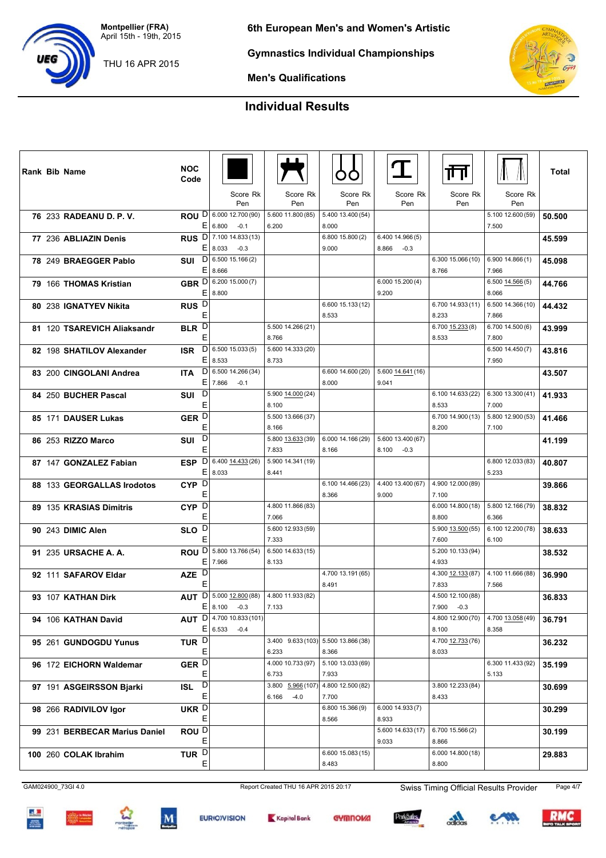THU 16 APR 2015

**6th European Men's and Women's Artistic**

**Gymnastics Individual Championships**

**Men's Qualifications**

# **Individual Results**

|  | <b>Rank Bib Name</b>          | <b>NOC</b><br>Code                              |                                              |                                              |                            | T                                            | गा                                  |                            | Total  |
|--|-------------------------------|-------------------------------------------------|----------------------------------------------|----------------------------------------------|----------------------------|----------------------------------------------|-------------------------------------|----------------------------|--------|
|  |                               |                                                 | Score Rk<br>Pen                              | Score Rk<br>Pen                              | Score Rk<br>Pen            | Score Rk<br>Pen                              | Score Rk<br>Pen                     | Score Rk<br>Pen            |        |
|  | 76 233 RADEANU D. P. V.       |                                                 | ROU D 6.000 12.700 (90)<br>E 6.800<br>$-0.1$ | 5.600 11.800 (85)<br>6.200                   | 5.400 13.400 (54)<br>8.000 |                                              |                                     | 5.100 12.600 (59)<br>7.500 | 50.500 |
|  | 77 236 ABLIAZIN Denis         |                                                 | RUS D 7.100 14.833 (13)<br>E 8.033<br>$-0.3$ |                                              | 6.800 15.800 (2)<br>9.000  | 6.400 14.966 (5)<br>$8.866 - 0.3$            |                                     |                            | 45.599 |
|  | 78 249 BRAEGGER Pablo         | <b>SUI</b>                                      | $D$   6.500 15.166 (2)<br>E 8.666            |                                              |                            |                                              | 6.300 15.066 (10)<br>8.766          | 6.90014.866(1)<br>7.966    | 45.098 |
|  | 79 166 THOMAS Kristian        |                                                 | GBR D 6.200 15.000 (7)<br>E 8.800            |                                              |                            | 6.00015.200(4)<br>9.200                      |                                     | $6.500$ 14.566(5)<br>8.066 | 44.766 |
|  | 80 238 IGNATYEV Nikita        | RUS <sub>D</sub><br>Ε                           |                                              |                                              | 6.600 15.133 (12)<br>8.533 |                                              | 6.700 14.933 (11)<br>8.233          | 6.500 14.366 (10)<br>7.866 | 44.432 |
|  | 81 120 TSAREVICH Aliaksandr   | BLR <sup>D</sup><br>E                           |                                              | 5.500 14.266 (21)<br>8.766                   |                            |                                              | $6.700$ $15.233(8)$<br>8.533        | 6.700 14.500 (6)<br>7.800  | 43.999 |
|  | 82 198 SHATILOV Alexander     | <b>ISR</b>                                      | $D$ 6.500 15.033 (5)<br>E 8.533              | 5.600 14.333 (20)<br>8.733                   |                            |                                              |                                     | 6.500 14.450 (7)<br>7.950  | 43.816 |
|  | 83 200 CINGOLANI Andrea       | <b>ITA</b><br>EI                                | $D$ 6.500 14.266 (34)<br>7.866<br>$-0.1$     |                                              | 6.600 14.600 (20)<br>8.000 | 5.600 14.641 (16)<br>9.041                   |                                     |                            | 43.507 |
|  | 84 250 BUCHER Pascal          | D<br><b>SUI</b><br>Е                            |                                              | 5.900 14.000 (24)<br>8.100                   |                            |                                              | 6.100 14.633 (22)<br>8.533          | 6.300 13.300 (41)<br>7.000 | 41.933 |
|  | 85 171 DAUSER Lukas           | GER <sup>D</sup><br>Е                           |                                              | 5.500 13.666 (37)<br>8.166                   |                            |                                              | 6.700 14.900 (13)<br>8.200          | 5.800 12.900 (53)<br>7.100 | 41.466 |
|  | 86 253 RIZZO Marco            | D<br>SUI<br>Е                                   |                                              | 5.800 13.633 (39)<br>7.833                   | 6.000 14.166 (29)<br>8.166 | 5.600 13.400 (67)<br>8.100<br>$-0.3$         |                                     |                            | 41.199 |
|  | 87 147 GONZALEZ Fabian        | D <br><b>ESP</b><br>EI                          | 6.400 14.433 (26)<br>8.033                   | 5.900 14.341 (19)<br>8.441                   |                            |                                              |                                     | 6.800 12.033 (83)<br>5.233 | 40.807 |
|  | 88 133 GEORGALLAS Irodotos    | $CYP$ <sup><math>\overline{D}</math></sup><br>Ε |                                              |                                              | 6.100 14.466 (23)<br>8.366 | 4.400 13.400 (67) 4.900 12.000 (89)<br>9.000 | 7.100                               |                            | 39.866 |
|  | 89 135 KRASIAS Dimitris       | CYP <sub>D</sub><br>Ε                           |                                              | 4.800 11.866 (83)<br>7.066                   |                            |                                              | 6.00014.800(18)<br>8.800            | 5.800 12.166 (79)<br>6.366 | 38.832 |
|  | 90 243 DIMIC Alen             | SLO <sup>D</sup><br>E                           |                                              | 5.600 12.933 (59)<br>7.333                   |                            |                                              | 5.900 13.500 (55)<br>7.600          | 6.100 12.200 (78)<br>6.100 | 38.633 |
|  | 91 235 URSACHE A. A.          | ΕI                                              | <b>ROU</b> D 5.800 13.766 (54)<br>7.966      | 6.500 14.633 (15)<br>8.133                   |                            |                                              | 5.200 10.133 (94)<br>4.933          |                            | 38.532 |
|  | 92 111 SAFAROV Eldar          | AZE D<br>E                                      |                                              |                                              | 4.700 13.191 (65)<br>8.491 |                                              | 4.300 12.133 (87)<br>7.833          | 4.100 11.666 (88)<br>7.566 | 36.990 |
|  | 93 107 KATHAN Dirk            | <b>AUT</b><br>EI                                | $D$ 5.000 12.800 (88)<br>8.100<br>$-0.3$     | 4.800 11.933 (82)<br>7.133                   |                            |                                              | 4.500 12.100 (88)<br>7.900 -0.3     |                            | 36.833 |
|  | 94 106 KATHAN David           |                                                 | AUT D 4.700 10.833 (101)<br>$E 6.533 -0.4$   |                                              |                            |                                              | 4.800 12.900 (70)<br>8.100          | 4.700 13.058 (49)<br>8.358 | 36.791 |
|  | 95 261 GUNDOGDU Yunus         | TUR <sup>D</sup><br>Ε                           |                                              | 3.400 9.633 (103) 5.500 13.866 (38)<br>6.233 | 8.366                      |                                              | 4.700 12.733 (76)<br>8.033          |                            | 36.232 |
|  | 96 172 EICHORN Waldemar       | GER <sup>D</sup>                                |                                              | 4.000 10.733 (97)<br>6.733                   | 5.100 13.033 (69)<br>7.933 |                                              |                                     | 6.300 11.433 (92)          | 35.199 |
|  | 97 191 ASGEIRSSON Bjarki      | Е<br>$\boxed{D}$<br><b>ISL</b><br>Е             |                                              | 3.800 5.966 (107)                            | 4.800 12.500 (82)          |                                              | 3.800 12.233 (84)                   | 5.133                      | 30.699 |
|  | 98 266 RADIVILOV Igor         | UKR D                                           |                                              | 6.166<br>$-4.0$                              | 7.700<br>6.800 15.366 (9)  | 6.000 14.933 (7)                             | 8.433                               |                            | 30.299 |
|  | 99 231 BERBECAR Marius Daniel | Ε<br>ROU <sup>D</sup>                           |                                              |                                              | 8.566                      | 8.933<br>5.600 14.633 (17)                   | 6.700 15.566(2)                     |                            | 30.199 |
|  | 100 260 COLAK Ibrahim         | Е<br>TUR $\overline{D}$<br>Е                    |                                              |                                              | 6.600 15.083 (15)<br>8.483 | 9.033                                        | 8.866<br>6.000 14.800 (18)<br>8.800 |                            | 29.883 |



 $\mathbf{A}$ 









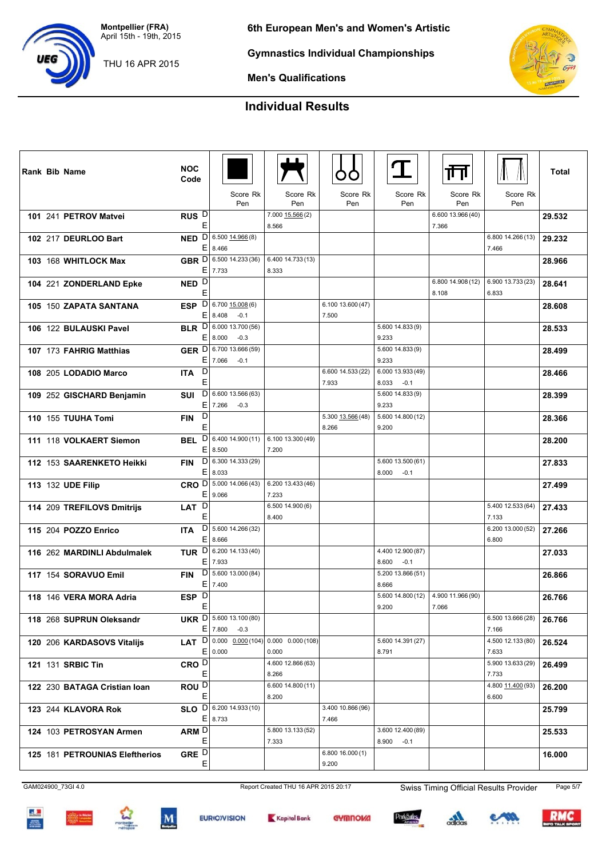THU 16 APR 2015

**6th European Men's and Women's Artistic**

**Gymnastics Individual Championships**



**Men's Qualifications**

## **Individual Results**

|  | Rank Bib Name                  | <b>NOC</b><br>Code              |                                        |                                                     |                            | $\mathbf T$                          | ╥╖                                  |                            | <b>Total</b> |
|--|--------------------------------|---------------------------------|----------------------------------------|-----------------------------------------------------|----------------------------|--------------------------------------|-------------------------------------|----------------------------|--------------|
|  |                                |                                 | Score Rk<br>Pen                        | Score Rk<br>Pen                                     | Score Rk<br>Pen            | Score Rk<br>Pen                      | Score Rk<br>Pen                     | Score Rk<br>Pen            |              |
|  | 101 241 PETROV Matvei          | RUS <sup>D</sup>                |                                        | 7.000 15.566 (2)                                    |                            |                                      | 6.600 13.966 (40)                   |                            | 29.532       |
|  |                                | E                               |                                        | 8.566                                               |                            |                                      | 7.366                               |                            |              |
|  | 102 217 DEURLOO Bart           | $\mathsf{D}$<br><b>NED</b>      | $6.500$ $14.966(8)$                    |                                                     |                            |                                      |                                     | 6.800 14.266 (13)          | 29.232       |
|  |                                | Е                               | 8.466                                  |                                                     |                            |                                      |                                     | 7.466                      |              |
|  | 103 168 WHITLOCK Max           |                                 | GBR D 6.500 14.233 (36)                | 6.400 14.733 (13)                                   |                            |                                      |                                     |                            | 28.966       |
|  |                                | E                               | 7.733                                  | 8.333                                               |                            |                                      |                                     |                            |              |
|  | 104 221 ZONDERLAND Epke        | NED <sup>D</sup>                |                                        |                                                     |                            |                                      | 6.800 14.908 (12)                   | 6.900 13.733 (23)          | 28.641       |
|  |                                | E                               |                                        |                                                     |                            |                                      | 8.108                               | 6.833                      |              |
|  | 105 150 ZAPATA SANTANA         | $\mathsf{D}$<br><b>ESP</b><br>E | $6.700$ $15.008(6)$<br>8.408<br>$-0.1$ |                                                     | 6.100 13.600 (47)<br>7.500 |                                      |                                     |                            | 28.608       |
|  |                                | <b>BLR</b>                      | $D$ 6.000 13.700 (56)                  |                                                     |                            | 5.600 14.833 (9)                     |                                     |                            |              |
|  | 106 122 BULAUSKI Pavel         |                                 | E 8.000<br>$-0.3$                      |                                                     |                            | 9.233                                |                                     |                            | 28.533       |
|  | 107 173 FAHRIG Matthias        |                                 | GER D 6.700 13.666 (59)                |                                                     |                            | 5.600 14.833 (9)                     |                                     |                            | 28.499       |
|  |                                | Ε                               | 7.066<br>$-0.1$                        |                                                     |                            | 9.233                                |                                     |                            |              |
|  | 108 205 LODADIO Marco          | D<br><b>ITA</b>                 |                                        |                                                     | 6.600 14.533 (22)          | 6.000 13.933 (49)                    |                                     |                            | 28.466       |
|  |                                | Ε                               |                                        |                                                     | 7.933                      | 8.033<br>$-0.1$                      |                                     |                            |              |
|  | 109 252 GISCHARD Benjamin      | <b>SUI</b>                      | $D$ 6.600 13.566 (63)                  |                                                     |                            | 5.600 14.833 (9)                     |                                     |                            | 28.399       |
|  |                                | E                               | 7.266<br>$-0.3$                        |                                                     |                            | 9.233                                |                                     |                            |              |
|  | 110 155 TUUHA Tomi             | D<br><b>FIN</b>                 |                                        |                                                     | 5.300 13.566 (48)          | 5.600 14.800 (12)                    |                                     |                            | 28.366       |
|  |                                | E                               |                                        |                                                     | 8.266                      | 9.200                                |                                     |                            |              |
|  | 111 118 VOLKAERT Siemon        | D<br><b>BEL</b><br>E            | 6.400 14.900 (11)<br>8.500             | 6.100 13.300 (49)<br>7.200                          |                            |                                      |                                     |                            | 28.200       |
|  |                                |                                 | $D$ 6.300 14.333 (29)                  |                                                     |                            | 5.600 13.500 (61)                    |                                     |                            |              |
|  | 112 153 SAARENKETO Heikki      | <b>FIN</b><br>E                 | 8.033                                  |                                                     |                            | 8.000<br>$-0.1$                      |                                     |                            | 27.833       |
|  | 113 132 UDE Filip              |                                 | CRO D 5.000 14.066 (43)                | 6.200 13.433 (46)                                   |                            |                                      |                                     |                            | 27.499       |
|  |                                | E                               | 9.066                                  | 7.233                                               |                            |                                      |                                     |                            |              |
|  | 114 209 TREFILOVS Dmitrijs     | D<br><b>LAT</b>                 |                                        | 6.50014.900(6)                                      |                            |                                      |                                     | 5.400 12.533 (64)          | 27.433       |
|  |                                | Ε                               |                                        | 8.400                                               |                            |                                      |                                     | 7.133                      |              |
|  | 115 204 POZZO Enrico           | <b>ITA</b>                      | $D$ 5.600 14.266 (32)                  |                                                     |                            |                                      |                                     | 6.200 13.000 (52)          | 27.266       |
|  |                                | E                               | 8.666                                  |                                                     |                            |                                      |                                     | 6.800                      |              |
|  | 116 262 MARDINLI Abdulmalek    | E                               | TUR $\overline{D}$ 6.200 14.133 (40)   |                                                     |                            | 4.400 12.900 (87)                    |                                     |                            | 27.033       |
|  |                                | D                               | 7.933<br>5.600 13.000 (84)             |                                                     |                            | 8.600<br>$-0.1$<br>5.200 13.866 (51) |                                     |                            |              |
|  | 117 154 SORAVUO Emil           | <b>FIN</b><br>Е                 | 7.400                                  |                                                     |                            | 8.666                                |                                     |                            | 26.866       |
|  | 118 146 VERA MORA Adria        | ESP D                           |                                        |                                                     |                            |                                      | $5.60014.800(12)$ 4.900 11.966 (90) |                            | 26.766       |
|  |                                | E                               |                                        |                                                     |                            | 9.200                                | 7.066                               |                            |              |
|  | 118 268 SUPRUN Oleksandr       |                                 | UKR D 5.600 13.100 (80)                |                                                     |                            |                                      |                                     | 6.500 13.666 (28)          | 26.766       |
|  |                                |                                 | $E$ 7.800<br>$-0.3$                    |                                                     |                            |                                      |                                     | 7.166                      |              |
|  | 120 206 KARDASOVS Vitalijs     |                                 |                                        | <b>LAT</b> $D$ 0.000 $0.000(104)$ 0.000 0.000 (108) |                            | 5.600 14.391 (27)                    |                                     | 4.500 12.133 (80)          | 26.524       |
|  |                                |                                 | E 0.000                                | 0.000                                               |                            | 8.791                                |                                     | 7.633                      |              |
|  | 121 131 SRBIC Tin              | CRO <sup>D</sup>                |                                        | 4.600 12.866 (63)                                   |                            |                                      |                                     | 5.900 13.633 (29)          | 26.499       |
|  |                                | E                               |                                        | 8.266<br>6.600 14.800 (11)                          |                            |                                      |                                     | 7.733                      |              |
|  | 122 230 BATAGA Cristian Ioan   | ROU <sup>D</sup><br>Е           |                                        | 8.200                                               |                            |                                      |                                     | 4.800 11.400 (93)<br>6.600 | 26.200       |
|  | 123 244 KLAVORA Rok            |                                 | SLO D 6.200 14.933 (10)                |                                                     | 3.400 10.866 (96)          |                                      |                                     |                            | 25.799       |
|  |                                | Е                               | 8.733                                  |                                                     | 7.466                      |                                      |                                     |                            |              |
|  | 124 103 PETROSYAN Armen        | ARM D                           |                                        | 5.800 13.133 (52)                                   |                            | 3.600 12.400 (89)                    |                                     |                            | 25.533       |
|  |                                | Ε                               |                                        | 7.333                                               |                            | $8.900 -0.1$                         |                                     |                            |              |
|  | 125 181 PETROUNIAS Eleftherios | GRE $\overline{D}$              |                                        |                                                     | 6.80016.000(1)             |                                      |                                     |                            | 16.000       |
|  |                                | Ε                               |                                        |                                                     | 9.200                      |                                      |                                     |                            |              |

GAM024900\_73GI 4.0 Report Created THU 16 APR 2015 20:17 Swiss Timing Official Results Provider Page 5/7

<u>at</u>









 $\frac{1}{2}$ 



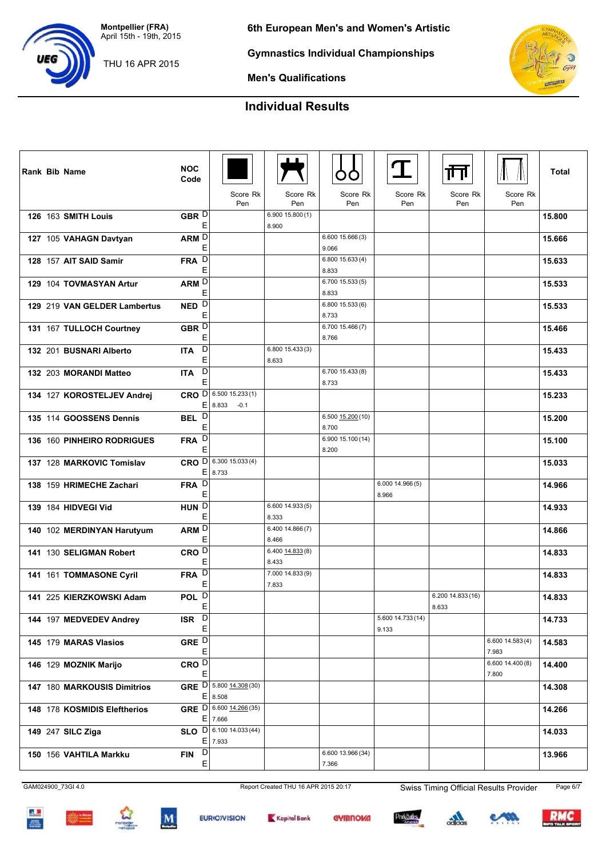THU 16 APR 2015

**Code**

**6th European Men's and Women's Artistic**

Pen Score Rk Score Rk

Score Rk

Score Rk

**Gymnastics Individual Championships**

**Men's Qualifications**

# **Individual Results**

**Rank** Bib Name  $\begin{bmatrix} \text{NOC} \\ \text{Code} \end{bmatrix}$   $\begin{bmatrix} \text{M} \\ \text{M} \end{bmatrix}$   $\begin{bmatrix} \text{N} \\ \text{Code} \end{bmatrix}$   $\begin{bmatrix} \text{N} \\ \text{M} \end{bmatrix}$   $\begin{bmatrix} \text{N} \\ \text{Code} \end{bmatrix}$ 

Score Rk

Score Rk

|                              |                        | Pen                                        | Pen                       | Pen                        | Pen                        | Pen                        | Pen                       |        |
|------------------------------|------------------------|--------------------------------------------|---------------------------|----------------------------|----------------------------|----------------------------|---------------------------|--------|
| 126 163 SMITH Louis          | GBR D<br>Ε             |                                            | 6.900 15.800 (1)<br>8.900 |                            |                            |                            |                           | 15.800 |
| 127 105 VAHAGN Davtyan       | ARM <sub>D</sub><br>E  |                                            |                           | 6.600 15.666 (3)<br>9.066  |                            |                            |                           | 15.666 |
| 128 157 AIT SAID Samir       | D<br><b>FRA</b><br>Е   |                                            |                           | 6.800 15.633 (4)<br>8.833  |                            |                            |                           | 15.633 |
| 129 104 TOVMASYAN Artur      | ARM D<br>E             |                                            |                           | 6.700 15.533 (5)<br>8.833  |                            |                            |                           | 15.533 |
| 129 219 VAN GELDER Lambertus | NED <sup>D</sup><br>E  |                                            |                           | 6.800 15.533 (6)<br>8.733  |                            |                            |                           | 15.533 |
| 131 167 TULLOCH Courtney     | GBR D<br>Е             |                                            |                           | 6.700 15.466 (7)<br>8.766  |                            |                            |                           | 15.466 |
| 132 201 BUSNARI Alberto      | D<br><b>ITA</b><br>E   |                                            | 6.800 15.433 (3)<br>8.633 |                            |                            |                            |                           | 15.433 |
| 132 203 MORANDI Matteo       | D<br><b>ITA</b><br>Ε   |                                            |                           | 6.700 15.433 (8)<br>8.733  |                            |                            |                           | 15.433 |
| 134 127 KOROSTELJEV Andrej   |                        | CRO D 6.500 15.233(1)<br>E 8.833<br>$-0.1$ |                           |                            |                            |                            |                           | 15.233 |
| 135 114 GOOSSENS Dennis      | BEL D<br>Е             |                                            |                           | 6.500 15.200 (10)<br>8.700 |                            |                            |                           | 15.200 |
| 136 160 PINHEIRO RODRIGUES   | D<br><b>FRA</b><br>Е   |                                            |                           | 6.900 15.100 (14)<br>8.200 |                            |                            |                           | 15.100 |
| 137 128 MARKOVIC Tomislav    |                        | CRO D 6.300 15.033 (4)<br>$E$   8.733      |                           |                            |                            |                            |                           | 15.033 |
| 138 159 HRIMECHE Zachari     | FRA D<br>E             |                                            |                           |                            | 6.00014.966(5)<br>8.966    |                            |                           | 14.966 |
| 139 184 HIDVEGI Vid          | HUN D<br>E             |                                            | 6.600 14.933 (5)<br>8.333 |                            |                            |                            |                           | 14.933 |
| 140 102 MERDINYAN Harutyum   | ARM <sub>DI</sub><br>Е |                                            | 6.400 14.866 (7)<br>8.466 |                            |                            |                            |                           | 14.866 |
| 141 130 SELIGMAN Robert      | CRO <sup>D</sup><br>E  |                                            | 6.400 14.833 (8)<br>8.433 |                            |                            |                            |                           | 14.833 |
| 141 161 TOMMASONE Cyril      | D<br><b>FRA</b><br>E   |                                            | 7.000 14.833 (9)<br>7.833 |                            |                            |                            |                           | 14.833 |
| 141 225 KIERZKOWSKI Adam     | D<br><b>POL</b><br>Е   |                                            |                           |                            |                            | 6.200 14.833 (16)<br>8.633 |                           | 14.833 |
| 144 197 MEDVEDEV Andrey      | D<br><b>ISR</b><br>E   |                                            |                           |                            | 5.600 14.733 (14)<br>9.133 |                            |                           | 14.733 |
| 145 179 MARAS Vlasios        | GRE D<br>E             |                                            |                           |                            |                            |                            | 6.60014.583(4)<br>7.983   | 14.583 |
| 146 129 MOZNIK Marijo        | CRO <sup>D</sup><br>Е  |                                            |                           |                            |                            |                            | 6.600 14.400 (8)<br>7.800 | 14.400 |
| 147 180 MARKOUSIS Dimitrios  |                        | GRE D 5.800 14.308 (30)<br>$E$ 8.508       |                           |                            |                            |                            |                           | 14.308 |
| 148 178 KOSMIDIS Eleftherios |                        | GRE D 6.600 14.266 (35)<br>$E$ 7.666       |                           |                            |                            |                            |                           | 14.266 |
| 149 247 SILC Ziga            |                        | SLO D 6.100 14.033 (44)<br>$E$ 7.933       |                           |                            |                            |                            |                           | 14.033 |
| 150 156 VAHTILA Markku       | D<br><b>FIN</b><br>Ε   |                                            |                           | 6.600 13.966 (34)<br>7.366 |                            |                            |                           | 13.966 |



GAM024900\_73GI 4.0 Report Created THU 16 APR 2015 20:17 Swiss Timing Official Results Provider Page 6/7









**GYMNOVA** 



 $\frac{1}{2}$